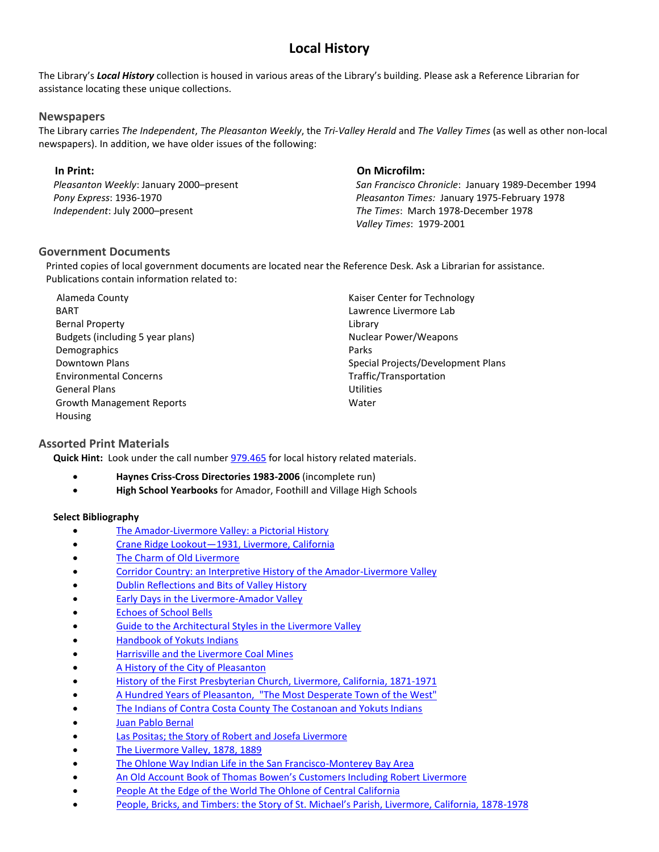# **Local History**

The Library's *Local History* collection is housed in various areas of the Library's building. Please ask a Reference Librarian for assistance locating these unique collections.

#### **Newspapers**

The Library carries *The Independent*, *The Pleasanton Weekly*, the *Tri-Valley Herald* and *The Valley Times* (as well as other non-local newspapers). In addition, we have older issues of the following:

#### **In Print:**

 *Pleasanton Weekly*: January 2000–present *Pony Express*: 1936-1970  *Independent*: July 2000–present

## **On Microfilm:**

 *San Francisco Chronicle*: January 1989-December 1994 *Pleasanton Times:* January 1975-February 1978 *The Times*: March 1978-December 1978  *Valley Times*: 1979-2001

## **Government Documents**

 Printed copies of local government documents are located near the Reference Desk. Ask a Librarian for assistance. Publications contain information related to:

 Alameda County BART Bernal Property Budgets (including 5 year plans) Demographics Downtown Plans Environmental Concerns General Plans Growth Management Reports Housing

Kaiser Center for Technology Lawrence Livermore Lab Library Nuclear Power/Weapons Parks Special Projects/Development Plans Traffic/Transportation **Utilities** Water

## **Assorted Print Materials**

**Quick Hint:** Look under the call numbe[r 979.465](http://millennium.ci.pleasanton.ca.us/search/c979.465) for local history related materials.

- **Haynes Criss-Cross Directories 1983-2006** (incomplete run)
- **High School Yearbooks** for Amador, Foothill and Village High Schools

#### **Select Bibliography**

- [The Amador-Livermore Valley: a Pictorial History](http://millennium.ci.pleasanton.ca.us/search/Xamador+valley+pictorial+history+lane)
- Crane Ridge Lookout—[1931, Livermore, California](http://millennium.ci.pleasanton.ca.us/search/tcrane%20ridge%20lookout)
- [The Charm of Old Livermore](http://millennium.ci.pleasanton.ca.us/search/tcharm%20of%20old%20livermore)
- [Corridor Country: an Interpretive History of the Amador-Livermore Valley](http://millennium.ci.pleasanton.ca.us/search/tcorridor%20country)
- [Dublin Reflections and Bits of Valley History](http://millennium.ci.pleasanton.ca.us/search/tdublin%20reflections)
- [Early Days in the Livermore-Amador Valley](http://millennium.ci.pleasanton.ca.us/search/tearly%20days%20in%20the)
- [Echoes of School Bells](http://millennium.ci.pleasanton.ca.us/search/techoes%20of%20school%20bells)
- [Guide to the Architectural Styles in the Livermore Valley](http://millennium.ci.pleasanton.ca.us/search/tguide%20to%20the%20architectural%20styles)
- [Handbook of Yokuts Indians](http://millennium.ci.pleasanton.ca.us/search/Xyokuts%20and%20latta)
- [Harrisville and the Livermore Coal Mines](http://millennium.ci.pleasanton.ca.us/search/Xharrisville+coal+mines)
- [A History of the City of Pleasanton](http://millennium.ci.pleasanton.ca.us/search/Xhistory+city+pleasanton+hagemann)
- [History of the First Presbyterian Church, Livermore, California, 1871-1971](http://millennium.ci.pleasanton.ca.us/search/Xhistory+church+presbyterian+kleinecke)
- A Hundred Years of Pleasanton, ["The Most Desperate Town of the West"](http://millennium.ci.pleasanton.ca.us/search/Xhundred+pleasanton+desperate)
- [The Indians of Contra Costa County The Costanoan and Yokuts Indians](http://millennium.ci.pleasanton.ca.us/search/Xindians+contra+costanoan)
- [Juan Pablo Bernal](http://millennium.ci.pleasanton.ca.us/search/XJuan%20Pablo%20Bernal+hagemann)
- [Las Positas; the Story of Robert and Josefa Livermore](http://millennium.ci.pleasanton.ca.us/search/XLas%20Positas%20the%20Story%20of%20Robert%20and%20Josefa%20Livermore)
- [The Livermore Valley, 1878, 1889](http://millennium.ci.pleasanton.ca.us/search/XLivermore%20imaginary%20tour)
- [The Ohlone Way Indian Life in the San Francisco-Monterey Bay Area](http://millennium.ci.pleasanton.ca.us/search/Xohlone%20margolin)
- [An Old Account Book of Thomas Bowen's Customers Including Robert Livermore](http://millennium.ci.pleasanton.ca.us/search/Xaccount%20thomas%20livermore)
- [People At the Edge of the World The Ohlone of Central California](http://millennium.ci.pleasanton.ca.us/search/Xpeople%20edge%20ohlone)
- People, Bricks, and Timbers: th[e Story of St. Michael's Parish, Livermore, California, 1878](http://millennium.ci.pleasanton.ca.us/search/Xpeople%20bricks%20timbers)-1978